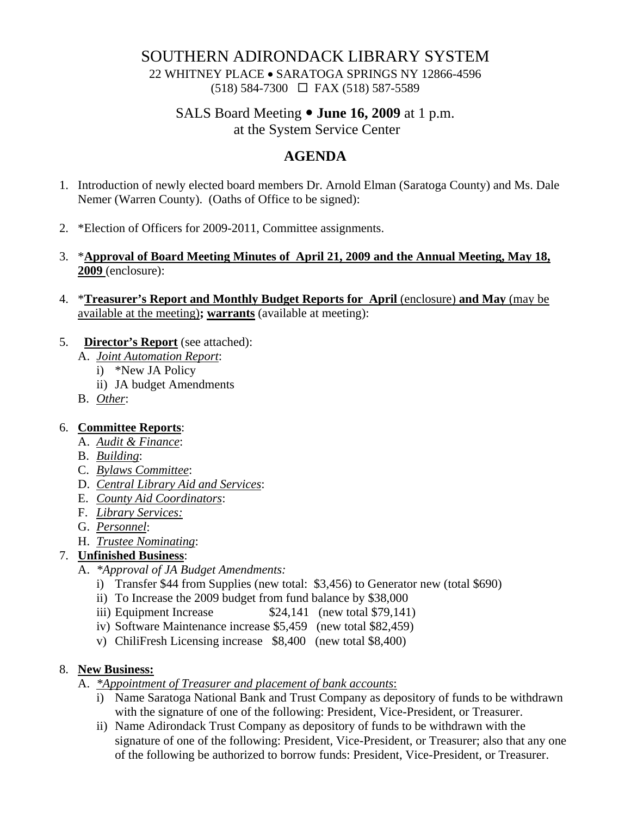## SOUTHERN ADIRONDACK LIBRARY SYSTEM

22 WHITNEY PLACE • SARATOGA SPRINGS NY 12866-4596 (518) 584-7300 FAX (518) 587-5589

# SALS Board Meeting  $\bullet$  **June 16, 2009** at 1 p.m.

at the System Service Center

## **AGENDA**

- 1. Introduction of newly elected board members Dr. Arnold Elman (Saratoga County) and Ms. Dale Nemer (Warren County). (Oaths of Office to be signed):
- 2. \*Election of Officers for 2009-2011, Committee assignments.
- 3. \***Approval of Board Meeting Minutes of April 21, 2009 and the Annual Meeting, May 18, 2009** (enclosure):
- 4. \***Treasurer's Report and Monthly Budget Reports for April** (enclosure) **and May** (may be available at the meeting)**; warrants** (available at meeting):

#### 5. **Director's Report** (see attached):

- A. *Joint Automation Report*:
	- i) \*New JA Policy
		- ii) JA budget Amendments
- B. *Other*:

### 6. **Committee Reports**:

- A. *Audit & Finance*:
- B. *Building*:
- C. *Bylaws Committee*:
- D. *Central Library Aid and Services*:
- E. *County Aid Coordinators*:
- F. *Library Services:*
- G. *Personnel*:
- H. *Trustee Nominating*:

## 7. **Unfinished Business**:

- A. *\*Approval of JA Budget Amendments:* 
	- i) Transfer \$44 from Supplies (new total: \$3,456) to Generator new (total \$690)
	- ii) To Increase the 2009 budget from fund balance by \$38,000
	- iii) Equipment Increase  $$24,141$  (new total \$79,141)
	- iv) Software Maintenance increase \$5,459 (new total \$82,459)
	- v) ChiliFresh Licensing increase \$8,400 (new total \$8,400)

### 8. **New Business:**

- A. *\*Appointment of Treasurer and placement of bank accounts*:
	- i) Name Saratoga National Bank and Trust Company as depository of funds to be withdrawn with the signature of one of the following: President, Vice-President, or Treasurer.
	- ii) Name Adirondack Trust Company as depository of funds to be withdrawn with the signature of one of the following: President, Vice-President, or Treasurer; also that any one of the following be authorized to borrow funds: President, Vice-President, or Treasurer.